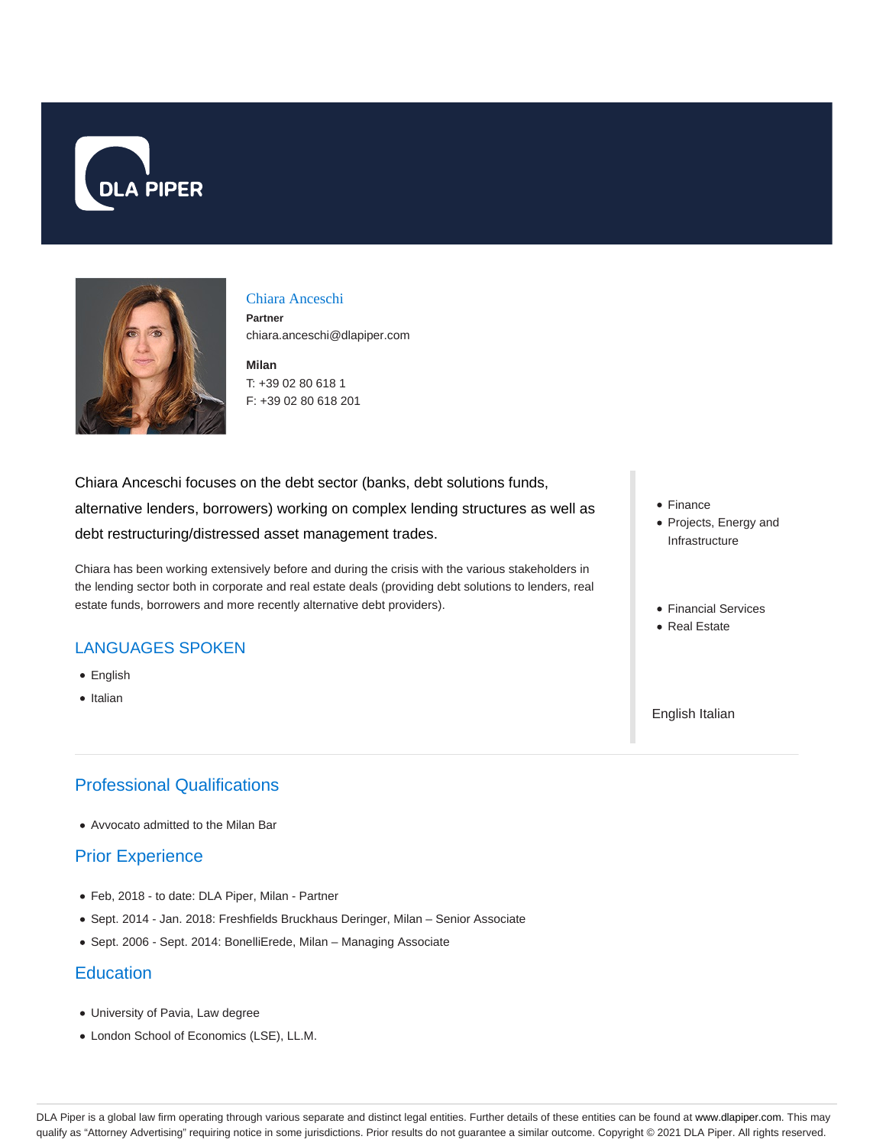



#### Chiara Anceschi

**Partner** chiara.anceschi@dlapiper.com

**Milan** T: +39 02 80 618 1 F: +39 02 80 618 201

Chiara Anceschi focuses on the debt sector (banks, debt solutions funds, alternative lenders, borrowers) working on complex lending structures as well as debt restructuring/distressed asset management trades.

Chiara has been working extensively before and during the crisis with the various stakeholders in the lending sector both in corporate and real estate deals (providing debt solutions to lenders, real estate funds, borrowers and more recently alternative debt providers).

### LANGUAGES SPOKEN

- English
- Italian

# Professional Qualifications

Avvocato admitted to the Milan Bar

### Prior Experience

- Feb, 2018 to date: DLA Piper, Milan Partner
- Sept. 2014 Jan. 2018: Freshfields Bruckhaus Deringer, Milan Senior Associate
- Sept. 2006 Sept. 2014: BonelliErede, Milan Managing Associate

### **Education**

- University of Pavia, Law degree
- London School of Economics (LSE), LL.M.
- Finance
- Projects, Energy and Infrastructure
- Financial Services
- Real Estate

English Italian